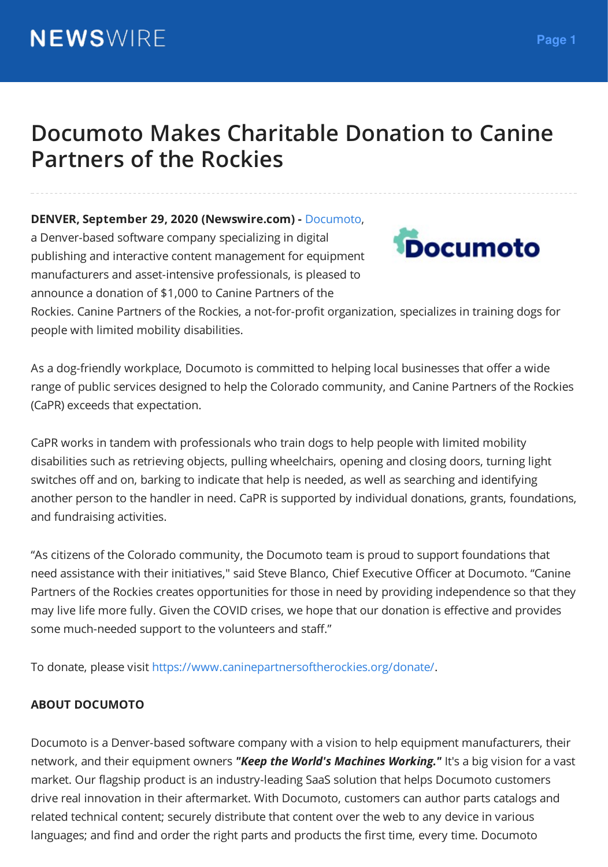# **Documoto Makes Charitable Donation to Canine Partners of the Rockies**

#### **DENVER, September 29, 2020 (Newswire.com) -** [Documoto](https://documoto.com/),

a Denver-based software company specializing in digital publishing and interactive content management for equipmen[t](https://cdn.newswire.com/files/x/24/ee/846f998c420a76d8d6d9bac8b9e8.png) manufacturers and asset-intensive professionals, is pleased to announce a donation of \$1,000 to Canine Partners of the



Rockies. Canine Partners of the Rockies, a not-for-profit organization, specializes in training dogs for people with limited mobility disabilities.

As a dog-friendly workplace, Documoto is committed to helping local businesses that offer a wide range of public services designed to help the Colorado community, and Canine Partners of the Rockies (CaPR) exceeds that expectation.

CaPR works in tandem with professionals who train dogs to help people with limited mobility disabilities such as retrieving objects, pulling wheelchairs, opening and closing doors, turning light switches off and on, barking to indicate that help is needed, as well as searching and identifying another person to the handler in need. CaPR is supported by individual donations, grants, foundations, and fundraising activities.

"As citizens of the Colorado community, the Documoto team is proud to support foundations that need assistance with their initiatives," said Steve Blanco, Chief Executive Officer at Documoto. "Canine Partners of the Rockies creates opportunities for those in need by providing independence so that they may live life more fully. Given the COVID crises, we hope that our donation is effective and provides some much-needed support to the volunteers and staff."

To donate, please visit <https://www.caninepartnersoftherockies.org/donate/>.

### **ABOUT DOCUMOTO**

Documoto is a Denver-based software company with a vision to help equipment manufacturers, their network, and their equipment owners *"Keep the World's Machines Working."* It's a big vision for a vast market. Our flagship product is an industry-leading SaaS solution that helps Documoto customers drive real innovation in their aftermarket. With Documoto, customers can author parts catalogs and related technical content; securely distribute that content over the web to any device in various languages; and find and order the right parts and products the first time, every time. Documoto